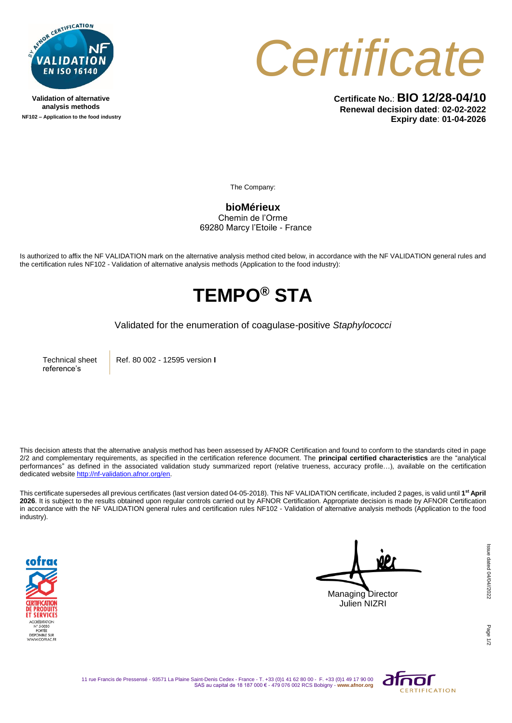

**Validation of alternative analysis methods NF102 – Application to the food industry**



**Certificate No.**: **BIO 12/28-04/10 Renewal decision dated**: **02-02-2022 Expiry date**: **01-04-2026**

The Company:

**bioMérieux** Chemin de l'Orme 69280 Marcy l'Etoile - France

Is authorized to affix the NF VALIDATION mark on the alternative analysis method cited below, in accordance with the NF VALIDATION general rules and the certification rules NF102 - Validation of alternative analysis methods (Application to the food industry):

## **TEMPO® STA**

Validated for the enumeration of coagulase*-*positive *Staphylococci*

Technical sheet reference's

Ref. 80 002 - 12595 version **I**

This decision attests that the alternative analysis method has been assessed by AFNOR Certification and found to conform to the standards cited in page 2/2 and complementary requirements, as specified in the certification reference document. The **principal certified characteristics** are the "analytical performances" as defined in the associated validation study summarized report (relative trueness, accuracy profile...), available on the certification dedicated websit[e http://nf-validation.afnor.org/en.](http://nf-validation.afnor.org/en)

This certificate supersedes all previous certificates (last version dated 04-05-2018). This NF VALIDATION certificate, included 2 pages, is valid until **1 st April 2026**. It is subject to the results obtained upon regular controls carried out by AFNOR Certification. Appropriate decision is made by AFNOR Certification in accordance with the NF VALIDATION general rules and certification rules NF102 - Validation of alternative analysis methods (Application to the food industry).



Managing Director Julien NIZRI